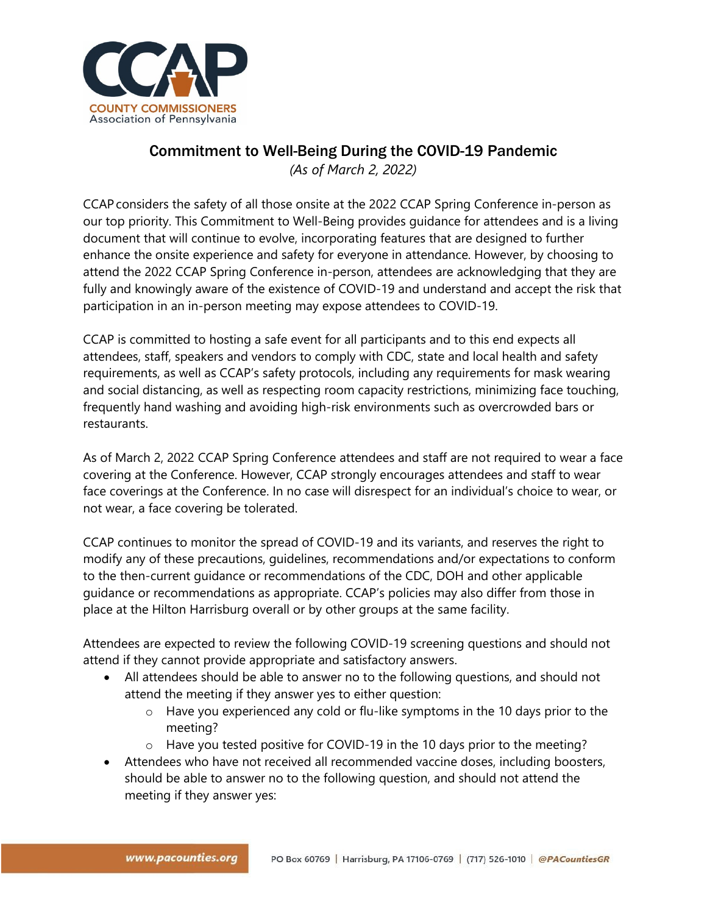

## Commitment to Well-Being During the COVID-19 Pandemic

*(As of March 2, 2022)*

CCAP considers the safety of all those onsite at the 2022 CCAP Spring Conference in-person as our top priority. This Commitment to Well-Being provides guidance for attendees and is a living document that will continue to evolve, incorporating features that are designed to further enhance the onsite experience and safety for everyone in attendance. However, by choosing to attend the 2022 CCAP Spring Conference in-person, attendees are acknowledging that they are fully and knowingly aware of the existence of COVID-19 and understand and accept the risk that participation in an in-person meeting may expose attendees to COVID-19.

CCAP is committed to hosting a safe event for all participants and to this end expects all attendees, staff, speakers and vendors to comply with CDC, state and local health and safety requirements, as well as CCAP's safety protocols, including any requirements for mask wearing and social distancing, as well as respecting room capacity restrictions, minimizing face touching, frequently hand washing and avoiding high-risk environments such as overcrowded bars or restaurants.

As of March 2, 2022 CCAP Spring Conference attendees and staff are not required to wear a face covering at the Conference. However, CCAP strongly encourages attendees and staff to wear face coverings at the Conference. In no case will disrespect for an individual's choice to wear, or not wear, a face covering be tolerated.

CCAP continues to monitor the spread of COVID-19 and its variants, and reserves the right to modify any of these precautions, guidelines, recommendations and/or expectations to conform to the then-current guidance or recommendations of the CDC, DOH and other applicable guidance or recommendations as appropriate. CCAP's policies may also differ from those in place at the Hilton Harrisburg overall or by other groups at the same facility.

Attendees are expected to review the following COVID-19 screening questions and should not attend if they cannot provide appropriate and satisfactory answers.

- All attendees should be able to answer no to the following questions, and should not attend the meeting if they answer yes to either question:
	- $\circ$  Have you experienced any cold or flu-like symptoms in the 10 days prior to the meeting?
	- $\circ$  Have you tested positive for COVID-19 in the 10 days prior to the meeting?
- Attendees who have not received all recommended vaccine doses, including boosters, should be able to answer no to the following question, and should not attend the meeting if they answer yes: